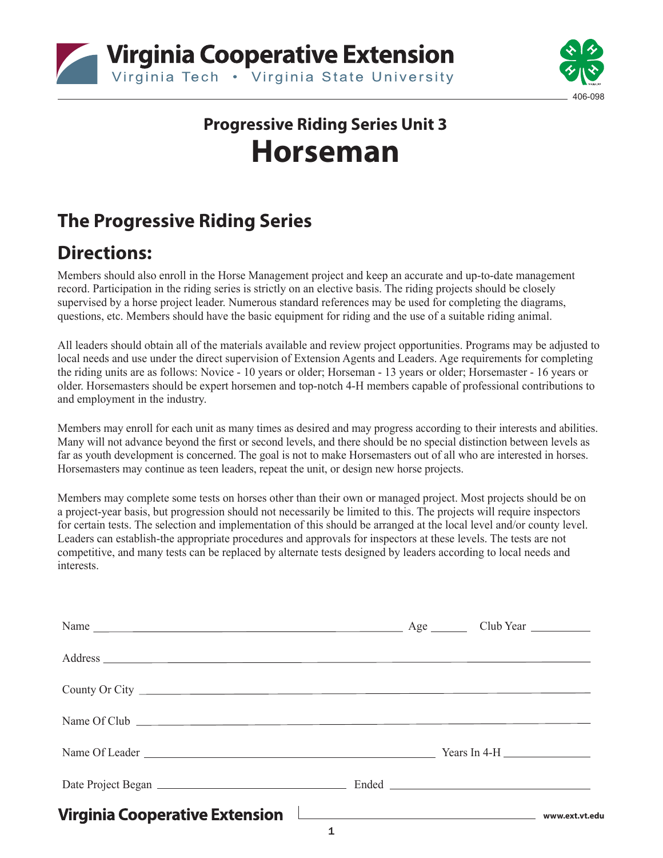



# **Progressive Riding Series Unit 3 Horseman**

## **The Progressive Riding Series**

### **Directions:**

Members should also enroll in the Horse Management project and keep an accurate and up-to-date management record. Participation in the riding series is strictly on an elective basis. The riding projects should be closely supervised by a horse project leader. Numerous standard references may be used for completing the diagrams, questions, etc. Members should have the basic equipment for riding and the use of a suitable riding animal.

All leaders should obtain all of the materials available and review project opportunities. Programs may be adjusted to local needs and use under the direct supervision of Extension Agents and Leaders. Age requirements for completing the riding units are as follows: Novice - 10 years or older; Horseman - 13 years or older; Horsemaster - 16 years or older. Horsemasters should be expert horsemen and top-notch 4-H members capable of professional contributions to and employment in the industry.

Members may enroll for each unit as many times as desired and may progress according to their interests and abilities. Many will not advance beyond the first or second levels, and there should be no special distinction between levels as far as youth development is concerned. The goal is not to make Horsemasters out of all who are interested in horses. Horsemasters may continue as teen leaders, repeat the unit, or design new horse projects.

Members may complete some tests on horses other than their own or managed project. Most projects should be on a project-year basis, but progression should not necessarily be limited to this. The projects will require inspectors for certain tests. The selection and implementation of this should be arranged at the local level and/or county level. Leaders can establish-the appropriate procedures and approvals for inspectors at these levels. The tests are not competitive, and many tests can be replaced by alternate tests designed by leaders according to local needs and interests.

| Address                               |                |  |  |
|---------------------------------------|----------------|--|--|
| County Or City                        |                |  |  |
| Name Of Club                          |                |  |  |
|                                       |                |  |  |
|                                       |                |  |  |
| <b>Virginia Cooperative Extension</b> | www.ext.vt.edu |  |  |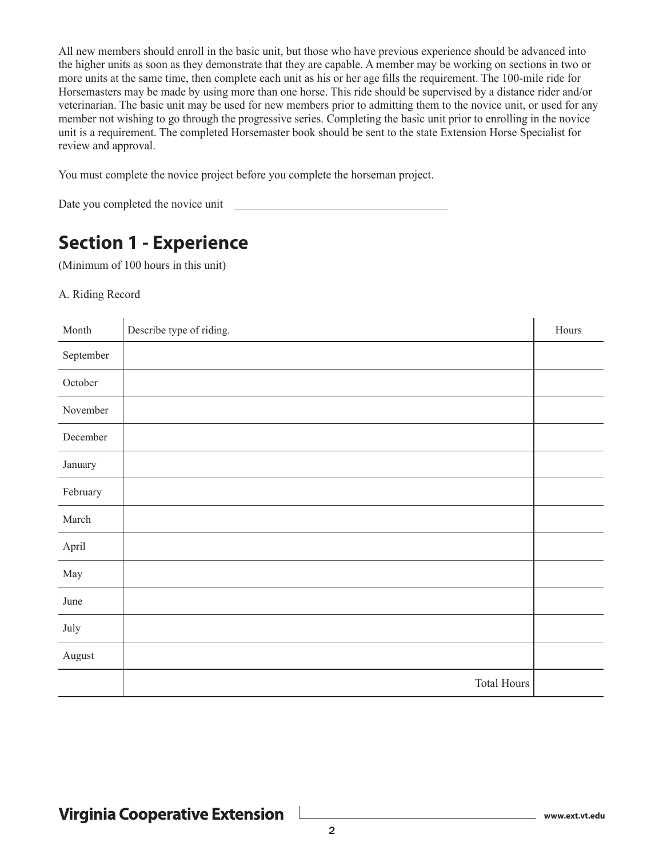All new members should enroll in the basic unit, but those who have previous experience should be advanced into the higher units as soon as they demonstrate that they are capable. A member may be working on sections in two or more units at the same time, then complete each unit as his or her age fills the requirement. The 100-mile ride for Horsemasters may be made by using more than one horse. This ride should be supervised by a distance rider and/or veterinarian. The basic unit may be used for new members prior to admitting them to the novice unit, or used for any member not wishing to go through the progressive series. Completing the basic unit prior to enrolling in the novice unit is a requirement. The completed Horsemaster book should be sent to the state Extension Horse Specialist for review and approval.

You must complete the novice project before you complete the horseman project.

Date you completed the novice unit

### **Section 1 - Experience**

(Minimum of 100 hours in this unit)

#### A. Riding Record

| Month     | Describe type of riding. | Hours |
|-----------|--------------------------|-------|
| September |                          |       |
| October   |                          |       |
| November  |                          |       |
| December  |                          |       |
| January   |                          |       |
| February  |                          |       |
| March     |                          |       |
| April     |                          |       |
| May       |                          |       |
| June      |                          |       |
| July      |                          |       |
| August    |                          |       |
|           | <b>Total Hours</b>       |       |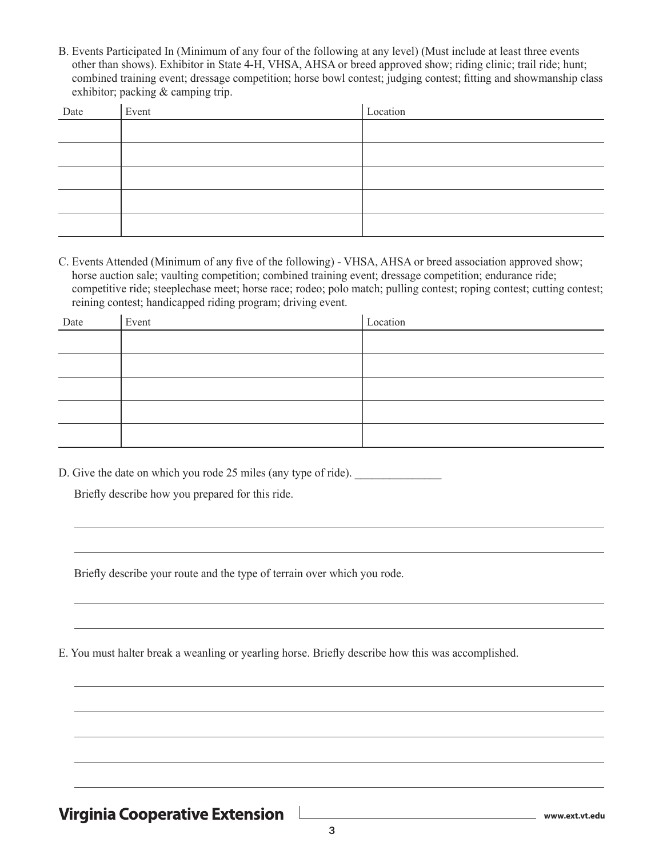B. Events Participated In (Minimum of any four of the following at any level) (Must include at least three events other than shows). Exhibitor in State 4-H, VHSA, AHSA or breed approved show; riding clinic; trail ride; hunt; combined training event; dressage competition; horse bowl contest; judging contest; fitting and showmanship class exhibitor; packing & camping trip.

| Date | Event | Location |
|------|-------|----------|
|      |       |          |
|      |       |          |
|      |       |          |
|      |       |          |
|      |       |          |
|      |       |          |

C. Events Attended (Minimum of any five of the following) - VHSA, AHSA or breed association approved show; horse auction sale; vaulting competition; combined training event; dressage competition; endurance ride; competitive ride; steeplechase meet; horse race; rodeo; polo match; pulling contest; roping contest; cutting contest; reining contest; handicapped riding program; driving event.

| Date | Event | Location |
|------|-------|----------|
|      |       |          |
|      |       |          |
|      |       |          |
|      |       |          |
|      |       |          |

D. Give the date on which you rode 25 miles (any type of ride).

Briefly describe how you prepared for this ride.

Briefly describe your route and the type of terrain over which you rode.

E. You must halter break a weanling or yearling horse. Briefly describe how this was accomplished.

### **Virginia Cooperative Extension**

**www.ext.vt.edu**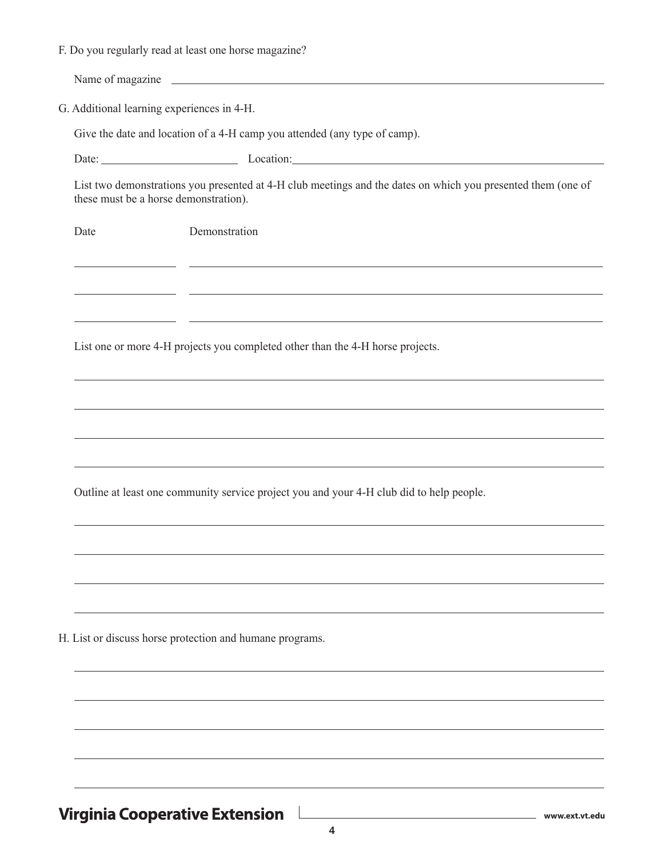| F. Do you regularly read at least one horse magazine? |  |  |  |  |  |  |  |  |  |  |  |  |
|-------------------------------------------------------|--|--|--|--|--|--|--|--|--|--|--|--|
|-------------------------------------------------------|--|--|--|--|--|--|--|--|--|--|--|--|

Name of magazine

G. Additional learning experiences in 4-H.

Give the date and location of a 4-H camp you attended (any type of camp).

Date: Location: Location:

List two demonstrations you presented at 4-H club meetings and the dates on which you presented them (one of these must be a horse demonstration).

and the control of the control of the control of the control of the control of the control of the control of the

Date Demonstration

List one or more 4-H projects you completed other than the 4-H horse projects.

Outline at least one community service project you and your 4-H club did to help people.

H. List or discuss horse protection and humane programs.

**Virginia Cooperative Extension** 

**www.ext.vt.edu**

 $\overline{\phantom{0}}$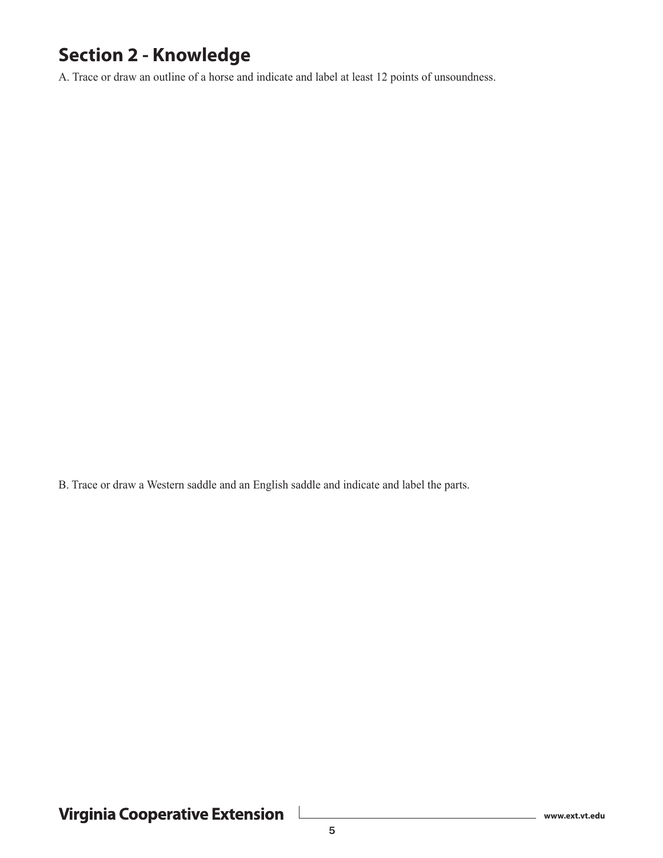### **Section 2 - Knowledge**

A. Trace or draw an outline of a horse and indicate and label at least 12 points of unsoundness.

B. Trace or draw a Western saddle and an English saddle and indicate and label the parts.

Virginia Cooperative Extension

**www.ext.vt.edu**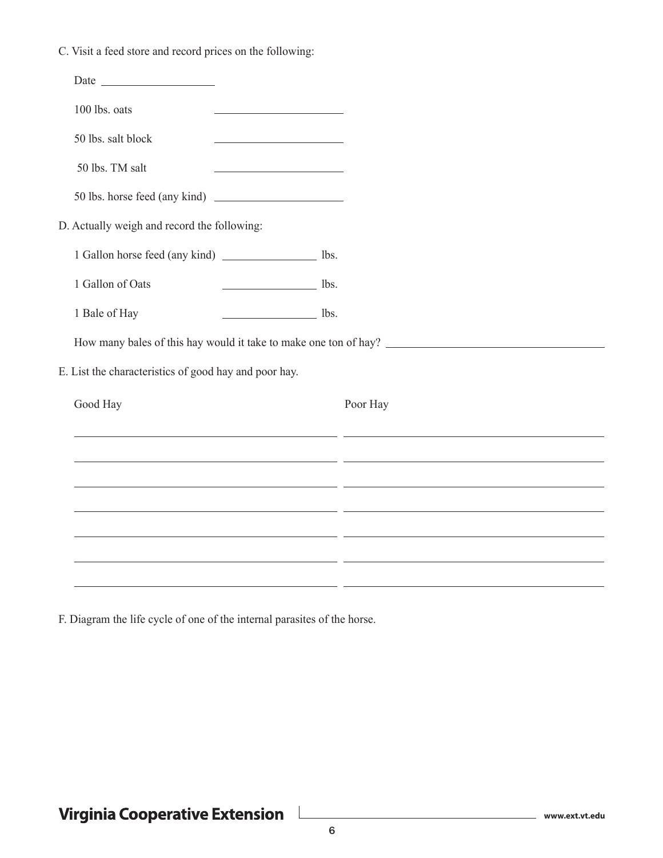C. Visit a feed store and record prices on the following:

| 100 lbs. oats                                           |                                                                                                                       |                                                                                                                      |
|---------------------------------------------------------|-----------------------------------------------------------------------------------------------------------------------|----------------------------------------------------------------------------------------------------------------------|
| 50 lbs. salt block                                      |                                                                                                                       |                                                                                                                      |
| 50 lbs. TM salt                                         | <u> 1989 - Johann Harry Harry Harry Harry Harry Harry Harry Harry Harry Harry Harry Harry Harry Harry Harry Harry</u> |                                                                                                                      |
|                                                         |                                                                                                                       |                                                                                                                      |
| D. Actually weigh and record the following:             |                                                                                                                       |                                                                                                                      |
| 1 Gallon horse feed (any kind) ___________________ lbs. |                                                                                                                       |                                                                                                                      |
| 1 Gallon of Oats                                        | $\frac{\ }{\ }$ lbs.                                                                                                  |                                                                                                                      |
| 1 Bale of Hay                                           | $\frac{1}{100}$ lbs.                                                                                                  |                                                                                                                      |
|                                                         |                                                                                                                       | How many bales of this hay would it take to make one ton of hay?                                                     |
| E. List the characteristics of good hay and poor hay.   |                                                                                                                       |                                                                                                                      |
| Good Hay                                                |                                                                                                                       | Poor Hay                                                                                                             |
|                                                         |                                                                                                                       | <u> 1990 - Johann Stoff, amerikansk politik (f. 1980)</u>                                                            |
|                                                         |                                                                                                                       | <u> 1989 - Andrea Santa Andrea Andrea Andrea Andrea Andrea Andrea Andrea Andrea Andrea Andrea Andrea Andrea Andr</u> |
|                                                         |                                                                                                                       | <u> 1990 - Andrea Santana, amerikana amerikana politika (h. 1989).</u>                                               |
|                                                         |                                                                                                                       | <u> 1989 - Johann Stoff, amerikansk politiker (* 1908)</u>                                                           |
|                                                         | <u> 1989 - Johann Stein, mars an deus an deus Amerikaanse komme van de Fryske komme en oantale</u>                    |                                                                                                                      |
|                                                         |                                                                                                                       |                                                                                                                      |

F. Diagram the life cycle of one of the internal parasites of the horse.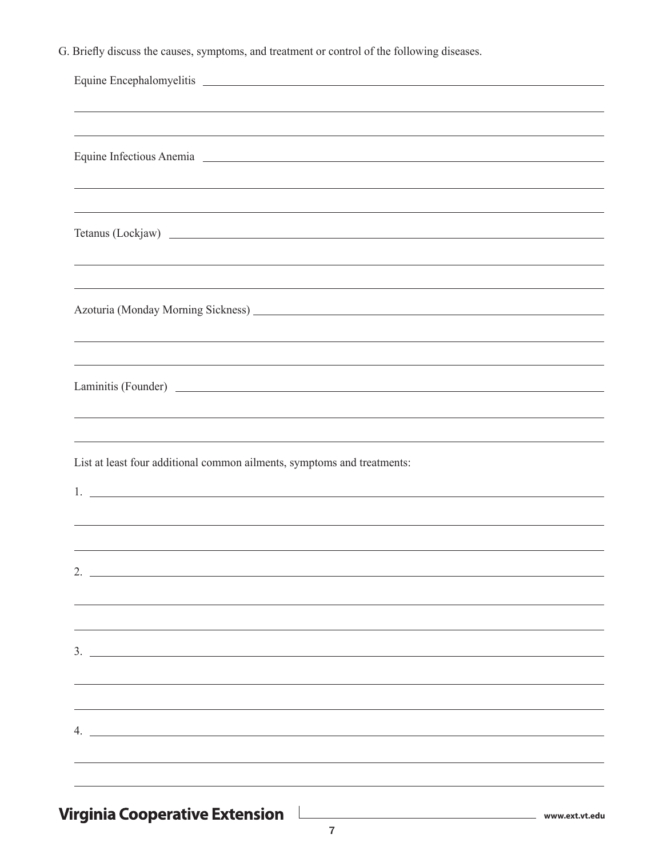G. Briefly discuss the causes, symptoms, and treatment or control of the following diseases.

| Equine Infectious Anemia 2008                                                    |
|----------------------------------------------------------------------------------|
|                                                                                  |
| ,我们也不会有什么。""我们的人,我们也不会有什么?""我们的人,我们也不会有什么?""我们的人,我们也不会有什么?""我们的人,我们也不会有什么?""我们的人 |
|                                                                                  |
|                                                                                  |
|                                                                                  |
|                                                                                  |
|                                                                                  |
|                                                                                  |
|                                                                                  |
|                                                                                  |
|                                                                                  |
| ,我们也不会有什么。""我们的人,我们也不会有什么?""我们的人,我们也不会有什么?""我们的人,我们也不会有什么?""我们的人,我们也不会有什么?""我们的人 |
| List at least four additional common ailments, symptoms and treatments:          |
|                                                                                  |
|                                                                                  |
|                                                                                  |
|                                                                                  |
| 2.                                                                               |
|                                                                                  |
|                                                                                  |
|                                                                                  |
| $\frac{1}{2}$                                                                    |
|                                                                                  |
|                                                                                  |
|                                                                                  |
| 4. $\overline{\phantom{a}}$                                                      |
|                                                                                  |
|                                                                                  |
|                                                                                  |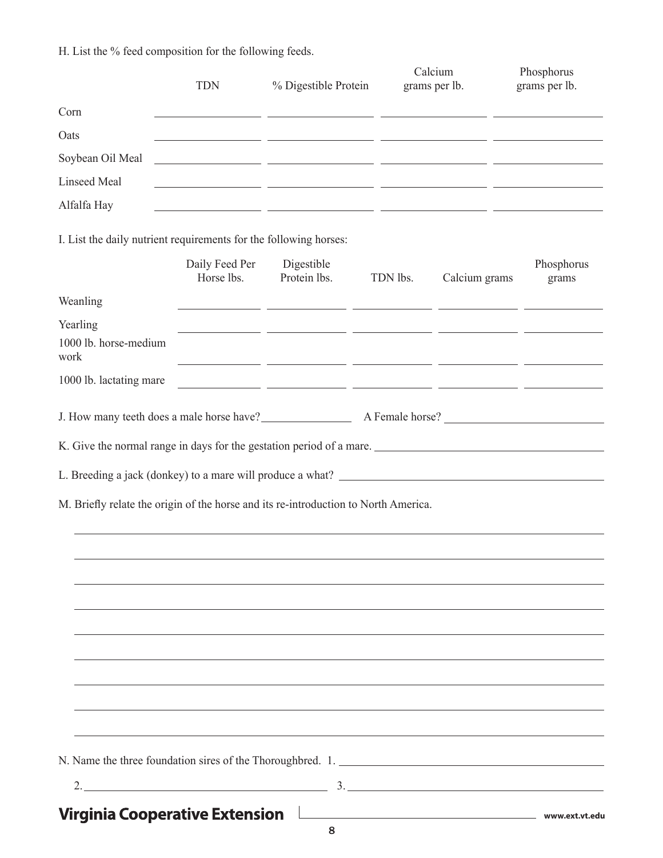H. List the % feed composition for the following feeds.

|                                                                                     | <b>TDN</b>                   | % Digestible Protein                                                                                                                                                                                                                 |          | Calcium<br>grams per lb. | Phosphorus<br>grams per lb. |
|-------------------------------------------------------------------------------------|------------------------------|--------------------------------------------------------------------------------------------------------------------------------------------------------------------------------------------------------------------------------------|----------|--------------------------|-----------------------------|
| Corn                                                                                |                              | <u> 1999 - Johann Stoff, amerikansk politiker (* 1908)</u>                                                                                                                                                                           |          |                          |                             |
| Oats                                                                                |                              | <u> 1990 - Jan James James Barnett, amerikansk politiker (d. 1980)</u>                                                                                                                                                               |          |                          |                             |
| Soybean Oil Meal                                                                    |                              | <u> 1999 - Johann Johann Harry Harry Harry Harry Harry Harry Harry Harry Harry Harry Harry Harry Harry Harry Harry Harry Harry Harry Harry Harry Harry Harry Harry Harry Harry Harry Harry Harry Harry Harry Harry Harry Harry H</u> |          |                          |                             |
| <b>Linseed Meal</b>                                                                 |                              | <u> 1999 - Jan James James Sandar (h. 1989).</u>                                                                                                                                                                                     |          |                          |                             |
| Alfalfa Hay                                                                         |                              | <u> 1999 - Jan James James (f. 1989)</u>                                                                                                                                                                                             |          |                          |                             |
| I. List the daily nutrient requirements for the following horses:                   |                              |                                                                                                                                                                                                                                      |          |                          |                             |
|                                                                                     | Daily Feed Per<br>Horse lbs. | Digestible<br>Protein lbs.                                                                                                                                                                                                           | TDN lbs. | Calcium grams            | Phosphorus<br>grams         |
| Weanling                                                                            |                              | <u> 1999 - Jan James James, president amerikan (h. 1989).</u>                                                                                                                                                                        |          |                          |                             |
| Yearling<br>1000 lb. horse-medium<br>work                                           |                              |                                                                                                                                                                                                                                      |          |                          |                             |
| 1000 lb. lactating mare                                                             |                              | <u> 1999 - Jan James James, filozof de la provincia de la provincia de la provincia de la provincia de la provinci</u>                                                                                                               |          |                          |                             |
| J. How many teeth does a male horse have?<br>A Female horse?<br>A Female horse?     |                              |                                                                                                                                                                                                                                      |          |                          |                             |
| K. Give the normal range in days for the gestation period of a mare.                |                              |                                                                                                                                                                                                                                      |          |                          |                             |
|                                                                                     |                              |                                                                                                                                                                                                                                      |          |                          |                             |
| M. Briefly relate the origin of the horse and its re-introduction to North America. |                              |                                                                                                                                                                                                                                      |          |                          |                             |
|                                                                                     |                              |                                                                                                                                                                                                                                      |          |                          |                             |
|                                                                                     |                              |                                                                                                                                                                                                                                      |          |                          |                             |
|                                                                                     |                              |                                                                                                                                                                                                                                      |          |                          |                             |
|                                                                                     |                              |                                                                                                                                                                                                                                      |          |                          |                             |
|                                                                                     |                              |                                                                                                                                                                                                                                      |          |                          |                             |
|                                                                                     |                              |                                                                                                                                                                                                                                      |          |                          |                             |
|                                                                                     |                              |                                                                                                                                                                                                                                      |          |                          |                             |
|                                                                                     |                              |                                                                                                                                                                                                                                      |          |                          |                             |
|                                                                                     |                              |                                                                                                                                                                                                                                      |          |                          |                             |
| 2.                                                                                  |                              |                                                                                                                                                                                                                                      |          |                          |                             |

Virginia Cooperative Extension

**www.ext.vt.edu**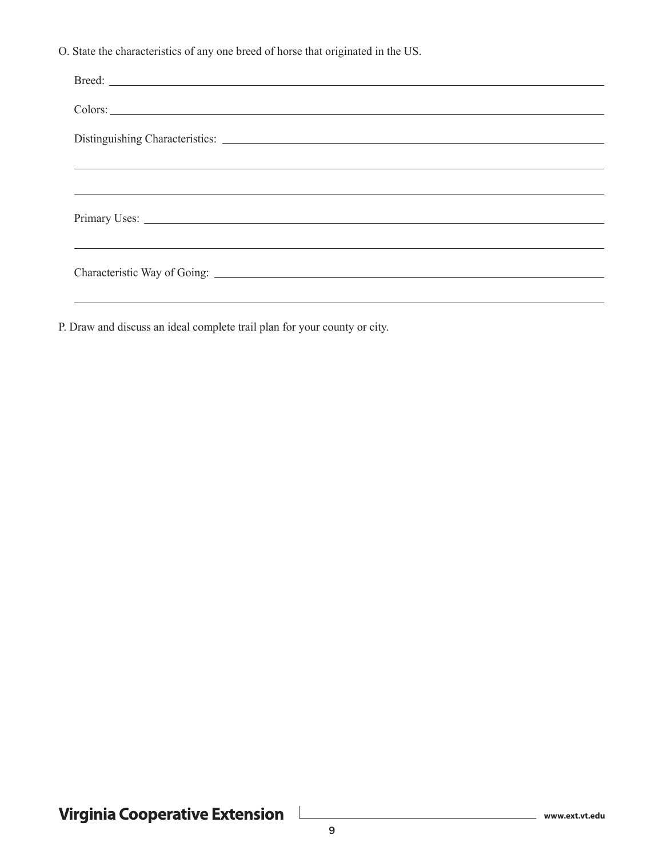O. State the characteristics of any one breed of horse that originated in the US.

| Distinguishing Characteristics: Lawrence and Characteristics: Lawrence and Characteristics: Lawrence and Characteristics: Lawrence and Characteristics: Lawrence and Characteristics: Lawrence and Characteristics: Lawrence a |
|--------------------------------------------------------------------------------------------------------------------------------------------------------------------------------------------------------------------------------|
|                                                                                                                                                                                                                                |
|                                                                                                                                                                                                                                |
|                                                                                                                                                                                                                                |
|                                                                                                                                                                                                                                |
| ,我们也不能会在这里,我们也不能会在这里,我们也不能会在这里,我们也不能会在这里,我们也不能会在这里,我们也不能会在这里,我们也不能会不能会不能会。""我们,我                                                                                                                                               |
|                                                                                                                                                                                                                                |
|                                                                                                                                                                                                                                |

P. Draw and discuss an ideal complete trail plan for your county or city.

 $\overline{\phantom{a}}$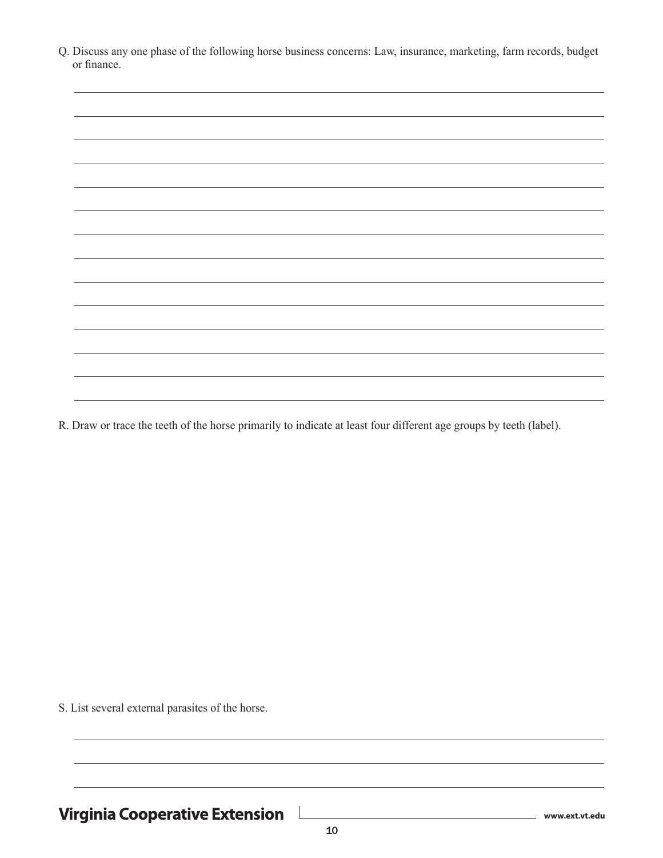| Q. Discuss any one phase of the following horse business concerns: Law, insurance, marketing, farm records, budget |  |  |  |  |  |
|--------------------------------------------------------------------------------------------------------------------|--|--|--|--|--|
| or finance.                                                                                                        |  |  |  |  |  |

R. Draw or trace the teeth of the horse primarily to indicate at least four different age groups by teeth (label).

S. List several external parasites of the horse.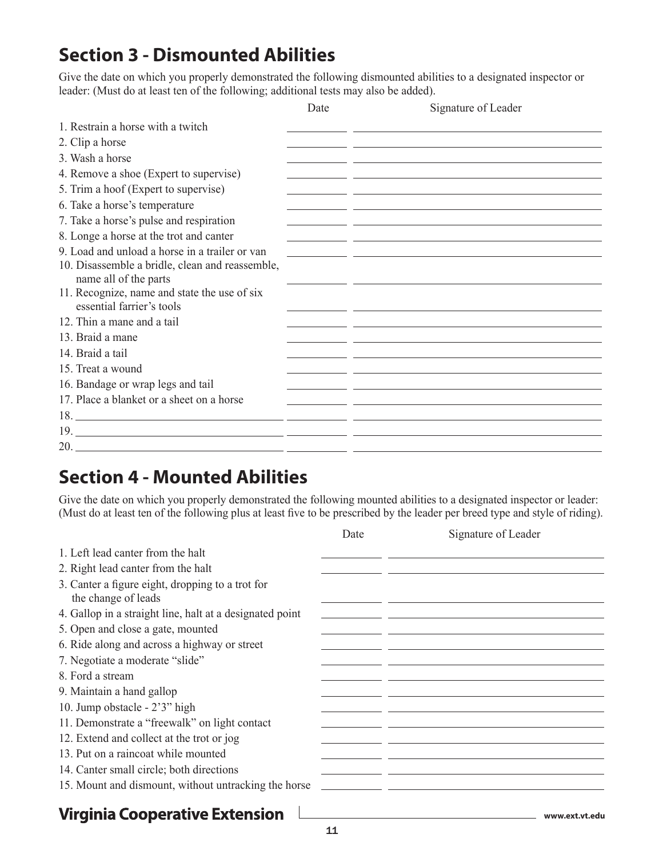## **Section 3 - Dismounted Abilities**

Give the date on which you properly demonstrated the following dismounted abilities to a designated inspector or leader: (Must do at least ten of the following; additional tests may also be added).

|                                                                           | Date | Signature of Leader                                                                                                   |
|---------------------------------------------------------------------------|------|-----------------------------------------------------------------------------------------------------------------------|
| 1. Restrain a horse with a twitch                                         |      |                                                                                                                       |
| 2. Clip a horse                                                           |      |                                                                                                                       |
| 3. Wash a horse                                                           |      |                                                                                                                       |
| 4. Remove a shoe (Expert to supervise)                                    |      |                                                                                                                       |
| 5. Trim a hoof (Expert to supervise)                                      |      |                                                                                                                       |
| 6. Take a horse's temperature                                             |      |                                                                                                                       |
| 7. Take a horse's pulse and respiration                                   |      |                                                                                                                       |
| 8. Longe a horse at the trot and canter                                   |      |                                                                                                                       |
| 9. Load and unload a horse in a trailer or van                            |      | <u> 1990 - Johann Johann Stoff, deutscher Stoffen und der Stoffen und der Stoffen und der Stoffen und der Stoffen</u> |
| 10. Disassemble a bridle, clean and reassemble,<br>name all of the parts  |      |                                                                                                                       |
| 11. Recognize, name and state the use of six<br>essential farrier's tools |      |                                                                                                                       |
| 12. Thin a mane and a tail                                                |      |                                                                                                                       |
| 13. Braid a mane                                                          |      |                                                                                                                       |
| 14. Braid a tail                                                          |      |                                                                                                                       |
| 15. Treat a wound                                                         |      |                                                                                                                       |
| 16. Bandage or wrap legs and tail                                         |      |                                                                                                                       |
| 17. Place a blanket or a sheet on a horse                                 |      |                                                                                                                       |
|                                                                           |      |                                                                                                                       |
|                                                                           |      |                                                                                                                       |
|                                                                           |      |                                                                                                                       |

### **Section 4 - Mounted Abilities**

Give the date on which you properly demonstrated the following mounted abilities to a designated inspector or leader: (Must do at least ten of the following plus at least five to be prescribed by the leader per breed type and style of riding).

|                                                                         | Date | Signature of Leader                                                                                                   |
|-------------------------------------------------------------------------|------|-----------------------------------------------------------------------------------------------------------------------|
| 1. Left lead canter from the halt                                       |      |                                                                                                                       |
| 2. Right lead canter from the halt                                      |      |                                                                                                                       |
| 3. Canter a figure eight, dropping to a trot for<br>the change of leads |      |                                                                                                                       |
| 4. Gallop in a straight line, halt at a designated point                |      |                                                                                                                       |
| 5. Open and close a gate, mounted                                       |      |                                                                                                                       |
| 6. Ride along and across a highway or street                            |      |                                                                                                                       |
| 7. Negotiate a moderate "slide"                                         |      |                                                                                                                       |
| 8. Ford a stream                                                        |      |                                                                                                                       |
| 9. Maintain a hand gallop                                               |      |                                                                                                                       |
| 10. Jump obstacle - 2'3" high                                           |      |                                                                                                                       |
| 11. Demonstrate a "freewalk" on light contact                           |      |                                                                                                                       |
| 12. Extend and collect at the trot or jog                               |      |                                                                                                                       |
| 13. Put on a raincoat while mounted                                     |      |                                                                                                                       |
| 14. Canter small circle; both directions                                |      |                                                                                                                       |
| 15. Mount and dismount, without untracking the horse                    |      | <u> 1989 - Johann Johann Stoff, deutscher Stoff, der Stoff, der Stoff, der Stoff, der Stoff, der Stoff, der Stoff</u> |
| <b>Virginia Cooperative Extension</b>                                   |      | www.ext.vt.edu                                                                                                        |